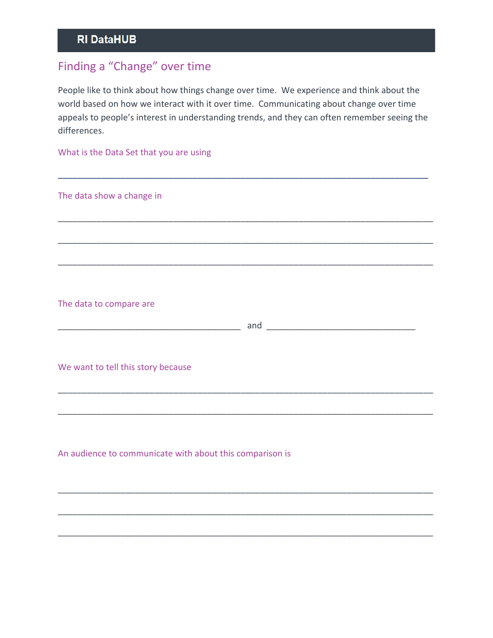## Finding a "Change" over time

People like to think about how things change over time. We experience and think about the world based on how we interact with it over time. Communicating about change over time appeals to people's interest in understanding trends, and they can often remember seeing the differences.

\_\_\_\_\_\_\_\_\_\_\_\_\_\_\_\_\_\_\_\_\_\_\_\_\_\_\_\_\_\_\_\_\_\_\_\_\_\_\_\_\_\_\_\_\_\_\_\_\_\_\_\_\_\_\_\_\_\_\_\_\_\_\_\_\_\_\_\_\_\_\_\_\_\_\_\_\_

\_\_\_\_\_\_\_\_\_\_\_\_\_\_\_\_\_\_\_\_\_\_\_\_\_\_\_\_\_\_\_\_\_\_\_\_\_\_\_\_\_\_\_\_\_\_\_\_\_\_\_\_\_\_\_\_\_\_\_\_\_\_\_\_\_\_\_\_\_\_\_\_\_\_\_\_\_\_

\_\_\_\_\_\_\_\_\_\_\_\_\_\_\_\_\_\_\_\_\_\_\_\_\_\_\_\_\_\_\_\_\_\_\_\_\_\_\_\_\_\_\_\_\_\_\_\_\_\_\_\_\_\_\_\_\_\_\_\_\_\_\_\_\_\_\_\_\_\_\_\_\_\_\_\_\_\_

\_\_\_\_\_\_\_\_\_\_\_\_\_\_\_\_\_\_\_\_\_\_\_\_\_\_\_\_\_\_\_\_\_\_\_\_\_\_\_\_\_\_\_\_\_\_\_\_\_\_\_\_\_\_\_\_\_\_\_\_\_\_\_\_\_\_\_\_\_\_\_\_\_\_\_\_\_\_

What is the Data Set that you are using

The data show a change in

The data to compare are

\_\_\_\_\_\_\_\_\_\_\_\_\_\_\_\_\_\_\_\_\_\_\_\_\_\_\_\_\_\_\_\_\_\_\_\_\_\_ and \_\_\_\_\_\_\_\_\_\_\_\_\_\_\_\_\_\_\_\_\_\_\_\_\_\_\_\_\_\_\_

\_\_\_\_\_\_\_\_\_\_\_\_\_\_\_\_\_\_\_\_\_\_\_\_\_\_\_\_\_\_\_\_\_\_\_\_\_\_\_\_\_\_\_\_\_\_\_\_\_\_\_\_\_\_\_\_\_\_\_\_\_\_\_\_\_\_\_\_\_\_\_\_\_\_\_\_\_\_

\_\_\_\_\_\_\_\_\_\_\_\_\_\_\_\_\_\_\_\_\_\_\_\_\_\_\_\_\_\_\_\_\_\_\_\_\_\_\_\_\_\_\_\_\_\_\_\_\_\_\_\_\_\_\_\_\_\_\_\_\_\_\_\_\_\_\_\_\_\_\_\_\_\_\_\_\_\_

\_\_\_\_\_\_\_\_\_\_\_\_\_\_\_\_\_\_\_\_\_\_\_\_\_\_\_\_\_\_\_\_\_\_\_\_\_\_\_\_\_\_\_\_\_\_\_\_\_\_\_\_\_\_\_\_\_\_\_\_\_\_\_\_\_\_\_\_\_\_\_\_\_\_\_\_\_\_

\_\_\_\_\_\_\_\_\_\_\_\_\_\_\_\_\_\_\_\_\_\_\_\_\_\_\_\_\_\_\_\_\_\_\_\_\_\_\_\_\_\_\_\_\_\_\_\_\_\_\_\_\_\_\_\_\_\_\_\_\_\_\_\_\_\_\_\_\_\_\_\_\_\_\_\_\_\_

\_\_\_\_\_\_\_\_\_\_\_\_\_\_\_\_\_\_\_\_\_\_\_\_\_\_\_\_\_\_\_\_\_\_\_\_\_\_\_\_\_\_\_\_\_\_\_\_\_\_\_\_\_\_\_\_\_\_\_\_\_\_\_\_\_\_\_\_\_\_\_\_\_\_\_\_\_\_

We want to tell this story because

An audience to communicate with about this comparison is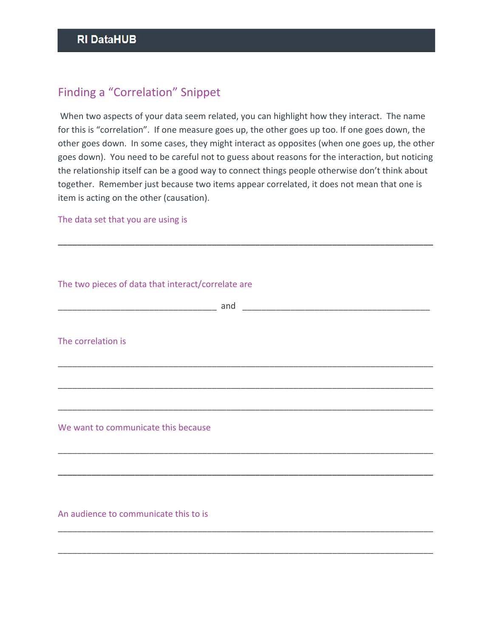## Finding a "Correlation" Snippet

 When two aspects of your data seem related, you can highlight how they interact. The name for this is "correlation". If one measure goes up, the other goes up too. If one goes down, the other goes down. In some cases, they might interact as opposites (when one goes up, the other goes down). You need to be careful not to guess about reasons for the interaction, but noticing the relationship itself can be a good way to connect things people otherwise don't think about together. Remember just because two items appear correlated, it does not mean that one is item is acting on the other (causation).

\_\_\_\_\_\_\_\_\_\_\_\_\_\_\_\_\_\_\_\_\_\_\_\_\_\_\_\_\_\_\_\_\_\_\_\_\_\_\_\_\_\_\_\_\_\_\_\_\_\_\_\_\_\_\_\_\_\_\_\_\_\_\_\_\_\_\_\_\_\_\_\_\_\_\_\_\_\_

The data set that you are using is

| The correlation is                    |                                                                                                                      |  |  |
|---------------------------------------|----------------------------------------------------------------------------------------------------------------------|--|--|
|                                       |                                                                                                                      |  |  |
|                                       | <u> 1989 - Johann Barbara, martxa alemaniar argumento de la contrada de la contrada de la contrada de la contrad</u> |  |  |
| We want to communicate this because   |                                                                                                                      |  |  |
|                                       |                                                                                                                      |  |  |
|                                       |                                                                                                                      |  |  |
| An audience to communicate this to is |                                                                                                                      |  |  |

\_\_\_\_\_\_\_\_\_\_\_\_\_\_\_\_\_\_\_\_\_\_\_\_\_\_\_\_\_\_\_\_\_\_\_\_\_\_\_\_\_\_\_\_\_\_\_\_\_\_\_\_\_\_\_\_\_\_\_\_\_\_\_\_\_\_\_\_\_\_\_\_\_\_\_\_\_\_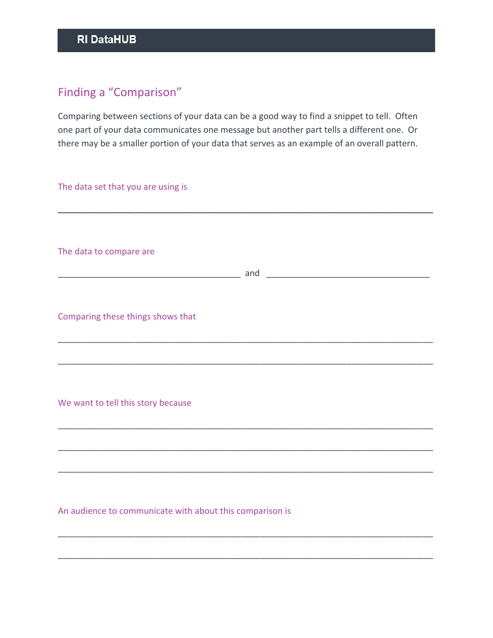## Finding a "Comparison"

Comparing between sections of your data can be a good way to find a snippet to tell. Often one part of your data communicates one message but another part tells a different one. Or there may be a smaller portion of your data that serves as an example of an overall pattern.

| The data set that you are using is                       |
|----------------------------------------------------------|
| The data to compare are                                  |
| Comparing these things shows that                        |
| We want to tell this story because                       |
|                                                          |
| An audience to communicate with about this comparison is |

\_\_\_\_\_\_\_\_\_\_\_\_\_\_\_\_\_\_\_\_\_\_\_\_\_\_\_\_\_\_\_\_\_\_\_\_\_\_\_\_\_\_\_\_\_\_\_\_\_\_\_\_\_\_\_\_\_\_\_\_\_\_\_\_\_\_\_\_\_\_\_\_\_\_\_\_\_\_

\_\_\_\_\_\_\_\_\_\_\_\_\_\_\_\_\_\_\_\_\_\_\_\_\_\_\_\_\_\_\_\_\_\_\_\_\_\_\_\_\_\_\_\_\_\_\_\_\_\_\_\_\_\_\_\_\_\_\_\_\_\_\_\_\_\_\_\_\_\_\_\_\_\_\_\_\_\_